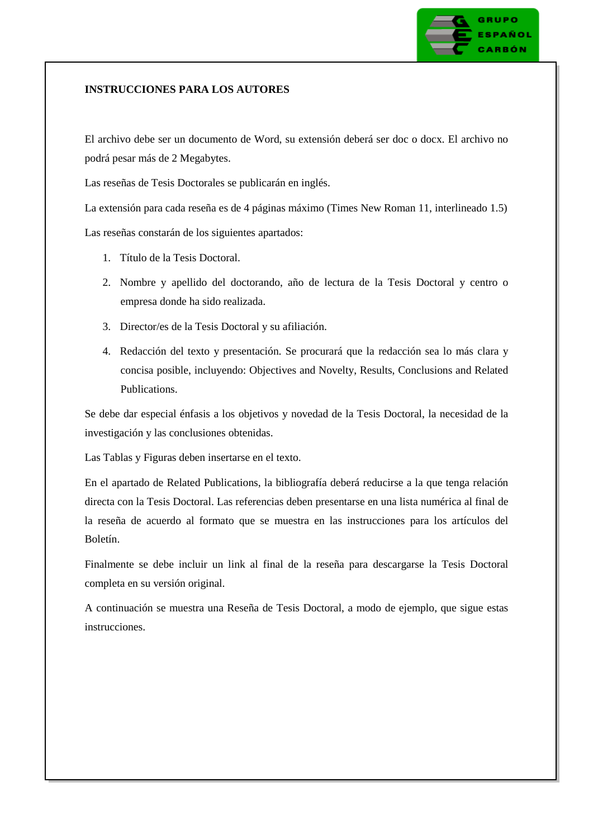## **INSTRUCCIONES PARA LOS AUTORES**

El archivo debe ser un documento de Word, su extensión deberá ser doc o docx. El archivo no podrá pesar más de 2 Megabytes.

Las reseñas de Tesis Doctorales se publicarán en inglés.

La extensión para cada reseña es de 4 páginas máximo (Times New Roman 11, interlineado 1.5)

Las reseñas constarán de los siguientes apartados:

- 1. Título de la Tesis Doctoral.
- 2. Nombre y apellido del doctorando, año de lectura de la Tesis Doctoral y centro o empresa donde ha sido realizada.
- 3. Director/es de la Tesis Doctoral y su afiliación.
- 4. Redacción del texto y presentación. Se procurará que la redacción sea lo más clara y concisa posible, incluyendo: Objectives and Novelty, Results, Conclusions and Related Publications.

Se debe dar especial énfasis a los objetivos y novedad de la Tesis Doctoral, la necesidad de la investigación y las conclusiones obtenidas.

Las Tablas y Figuras deben insertarse en el texto.

En el apartado de Related Publications, la bibliografía deberá reducirse a la que tenga relación directa con la Tesis Doctoral. Las referencias deben presentarse en una lista numérica al final de la reseña de acuerdo al formato que se muestra en las instrucciones para los artículos del Boletín.

Finalmente se debe incluir un link al final de la reseña para descargarse la Tesis Doctoral completa en su versión original.

A continuación se muestra una Reseña de Tesis Doctoral, a modo de ejemplo, que sigue estas instrucciones.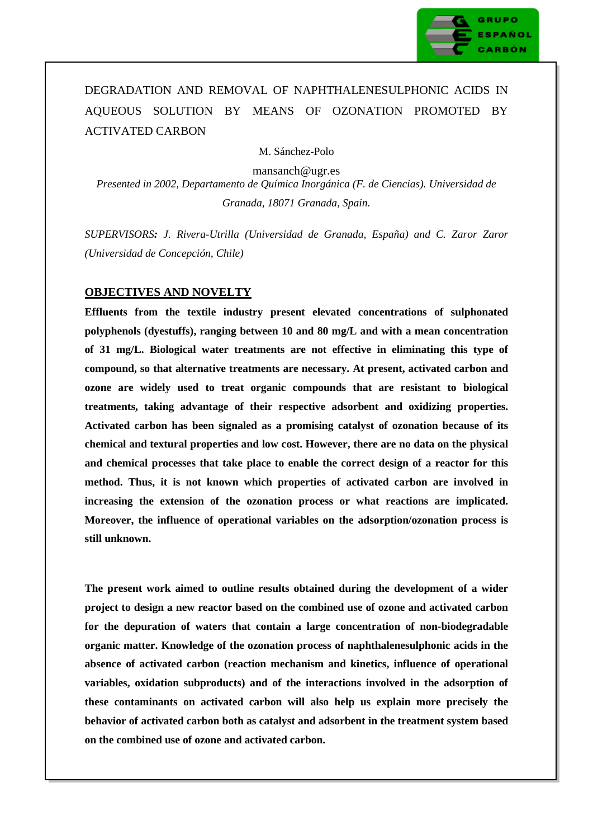

# DEGRADATION AND REMOVAL OF NAPHTHALENESULPHONIC ACIDS IN AQUEOUS SOLUTION BY MEANS OF OZONATION PROMOTED BY ACTIVATED CARBON

M. Sánchez-Polo

mansanch@ugr.es *Presented in 2002, Departamento de Química Inorgánica (F. de Ciencias). Universidad de Granada, 18071 Granada, Spain.*

*SUPERVISORS: J. Rivera-Utrilla (Universidad de Granada, España) and C. Zaror Zaror (Universidad de Concepción, Chile)*

# **OBJECTIVES AND NOVELTY**

**Effluents from the textile industry present elevated concentrations of sulphonated polyphenols (dyestuffs), ranging between 10 and 80 mg/L and with a mean concentration of 31 mg/L. Biological water treatments are not effective in eliminating this type of compound, so that alternative treatments are necessary. At present, activated carbon and ozone are widely used to treat organic compounds that are resistant to biological treatments, taking advantage of their respective adsorbent and oxidizing properties. Activated carbon has been signaled as a promising catalyst of ozonation because of its chemical and textural properties and low cost. However, there are no data on the physical and chemical processes that take place to enable the correct design of a reactor for this method. Thus, it is not known which properties of activated carbon are involved in increasing the extension of the ozonation process or what reactions are implicated. Moreover, the influence of operational variables on the adsorption/ozonation process is still unknown.** 

**The present work aimed to outline results obtained during the development of a wider project to design a new reactor based on the combined use of ozone and activated carbon for the depuration of waters that contain a large concentration of non-biodegradable organic matter. Knowledge of the ozonation process of naphthalenesulphonic acids in the absence of activated carbon (reaction mechanism and kinetics, influence of operational variables, oxidation subproducts) and of the interactions involved in the adsorption of these contaminants on activated carbon will also help us explain more precisely the behavior of activated carbon both as catalyst and adsorbent in the treatment system based on the combined use of ozone and activated carbon.**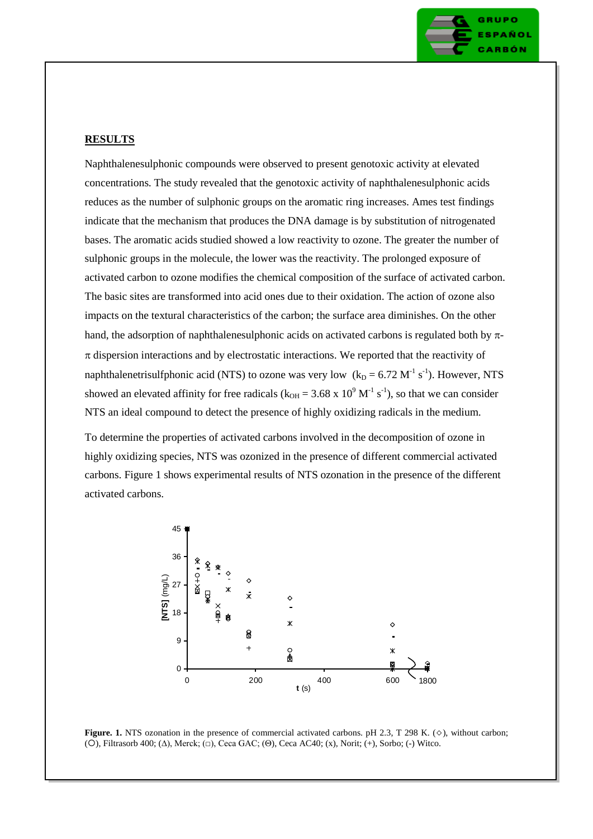

#### **RESULTS**

Naphthalenesulphonic compounds were observed to present genotoxic activity at elevated concentrations. The study revealed that the genotoxic activity of naphthalenesulphonic acids reduces as the number of sulphonic groups on the aromatic ring increases. Ames test findings indicate that the mechanism that produces the DNA damage is by substitution of nitrogenated bases. The aromatic acids studied showed a low reactivity to ozone. The greater the number of sulphonic groups in the molecule, the lower was the reactivity. The prolonged exposure of activated carbon to ozone modifies the chemical composition of the surface of activated carbon. The basic sites are transformed into acid ones due to their oxidation. The action of ozone also impacts on the textural characteristics of the carbon; the surface area diminishes. On the other hand, the adsorption of naphthalenesulphonic acids on activated carbons is regulated both by  $\pi$ - $\pi$  dispersion interactions and by electrostatic interactions. We reported that the reactivity of naphthalenetrisulfphonic acid (NTS) to ozone was very low  $(k_D = 6.72 M^{-1} s^{-1})$ . However, NTS showed an elevated affinity for free radicals ( $k_{OH} = 3.68 \times 10^9 \text{ M}^{-1} \text{ s}^{-1}$ ), so that we can consider NTS an ideal compound to detect the presence of highly oxidizing radicals in the medium.

To determine the properties of activated carbons involved in the decomposition of ozone in highly oxidizing species, NTS was ozonized in the presence of different commercial activated carbons. Figure 1 shows experimental results of NTS ozonation in the presence of the different activated carbons.



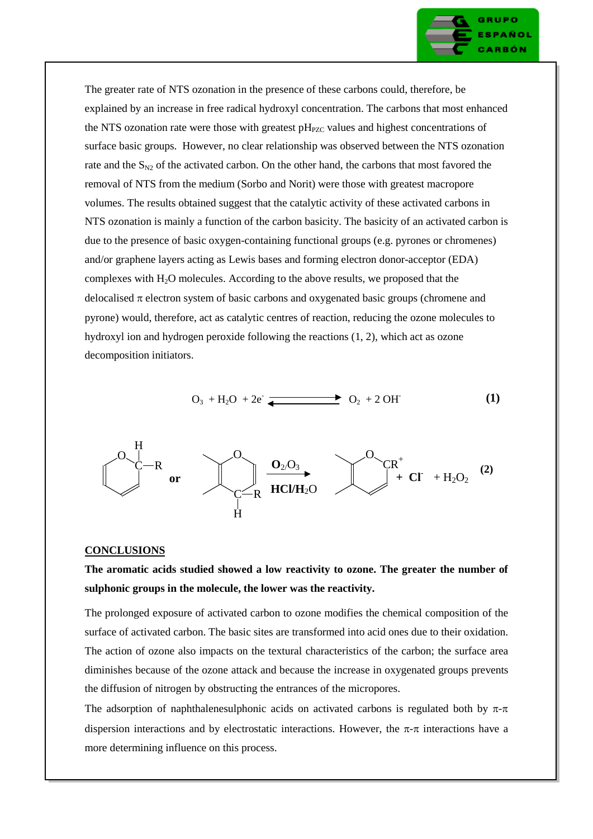

The greater rate of NTS ozonation in the presence of these carbons could, therefore, be explained by an increase in free radical hydroxyl concentration. The carbons that most enhanced the NTS ozonation rate were those with greatest  $pH_{PZC}$  values and highest concentrations of surface basic groups. However, no clear relationship was observed between the NTS ozonation rate and the  $S_{N2}$  of the activated carbon. On the other hand, the carbons that most favored the removal of NTS from the medium (Sorbo and Norit) were those with greatest macropore volumes. The results obtained suggest that the catalytic activity of these activated carbons in NTS ozonation is mainly a function of the carbon basicity. The basicity of an activated carbon is due to the presence of basic oxygen-containing functional groups (e.g. pyrones or chromenes) and/or graphene layers acting as Lewis bases and forming electron donor-acceptor (EDA) complexes with  $H_2O$  molecules. According to the above results, we proposed that the delocalised  $\pi$  electron system of basic carbons and oxygenated basic groups (chromene and pyrone) would, therefore, act as catalytic centres of reaction, reducing the ozone molecules to hydroxyl ion and hydrogen peroxide following the reactions (1, 2), which act as ozone decomposition initiators.

$$
O_3 + H_2O + 2e^-
$$
 
$$
O_2 + 2OH \tag{1}
$$



#### **CONCLUSIONS**

# **The aromatic acids studied showed a low reactivity to ozone. The greater the number of sulphonic groups in the molecule, the lower was the reactivity.**

The prolonged exposure of activated carbon to ozone modifies the chemical composition of the surface of activated carbon. The basic sites are transformed into acid ones due to their oxidation. The action of ozone also impacts on the textural characteristics of the carbon; the surface area diminishes because of the ozone attack and because the increase in oxygenated groups prevents the diffusion of nitrogen by obstructing the entrances of the micropores.

The adsorption of naphthalenesulphonic acids on activated carbons is regulated both by  $\pi$ - $\pi$ dispersion interactions and by electrostatic interactions. However, the  $\pi$ - $\pi$  interactions have a more determining influence on this process.